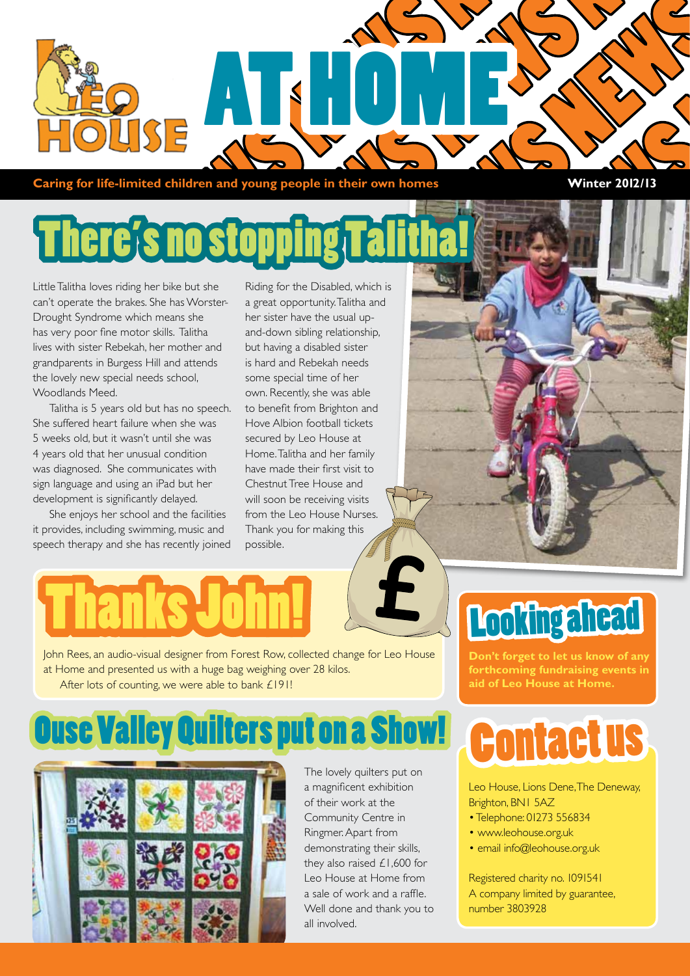

**Caring for life-limited children and young people in their own homes Winter 2012/13** 

## There's no sto

Little Talitha loves riding her bike but she can't operate the brakes. She has Worster-Drought Syndrome which means she has very poor fine motor skills. Talitha lives with sister Rebekah, her mother and grandparents in Burgess Hill and attends the lovely new special needs school, Woodlands Meed.

Talitha is 5 years old but has no speech. She suffered heart failure when she was 5 weeks old, but it wasn't until she was 4 years old that her unusual condition was diagnosed. She communicates with sign language and using an iPad but her development is significantly delayed.

She enjoys her school and the facilities it provides, including swimming, music and speech therapy and she has recently joined

Riding for the Disabled, which is a great opportunity. Talitha and her sister have the usual upand-down sibling relationship, but having a disabled sister is hard and Rebekah needs some special time of her own. Recently, she was able to benefit from Brighton and Hove Albion football tickets secured by Leo House at Home. Talitha and her family have made their first visit to Chestnut Tree House and will soon be receiving visits from the Leo House Nurses. Thank you for making this possible.



John Rees, an audio-visual designer from Forest Row, collected change for Leo House at Home and presented us with a huge bag weighing over 28 kilos. After lots of counting, we were able to bank £191!

### **Ouse Valley Quilters put on a Show!**



The lovely quilters put on a magnificent exhibition of their work at the Community Centre in Ringmer. Apart from demonstrating their skills, they also raised £1,600 for Leo House at Home from a sale of work and a raffle. Well done and thank you to all involved.

## Looking ahead

**Don't forget to let us know of any forthcoming fundraising events in aid of Leo House at Home.**

## Contact us

Leo House, Lions Dene, The Deneway, Brighton, BN1 5AZ

- Telephone: 01273 556834
- www.leohouse.org.uk
- email info@leohouse.org.uk

Registered charity no. 1091541 A company limited by guarantee, number 3803928